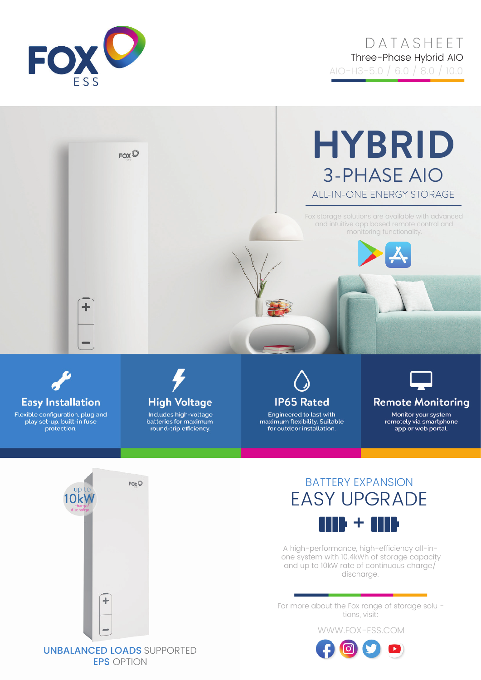

# **DATASHEET** Three-Phase Hybrid AIO

AIO-H3-5.0 / 6.0 / 8.0 / 10.0





Flexible configuration, plug and play set-up, built-in fuse protection.



Includes high-voltage batteries for maximum round-trip efficiency.



Engineered to last with maximum flexibility. Suitable for outdoor installation.



#### **Remote Monitoring**

Monitor your system remotely via smartphone app or web portal.



## BATTERY EXPANSION EASY UPGRADE 110 + 110

A high-performance, high-efficiency all-inone system with 10.4kWh of storage capacity and up to 10kW rate of continuous charge/ discharge.

For more about the Fox range of storage solu tions, visit:

WWW.FOX-ESS.COM



### UNBALANCED LOADS SUPPORTED EPS OPTION